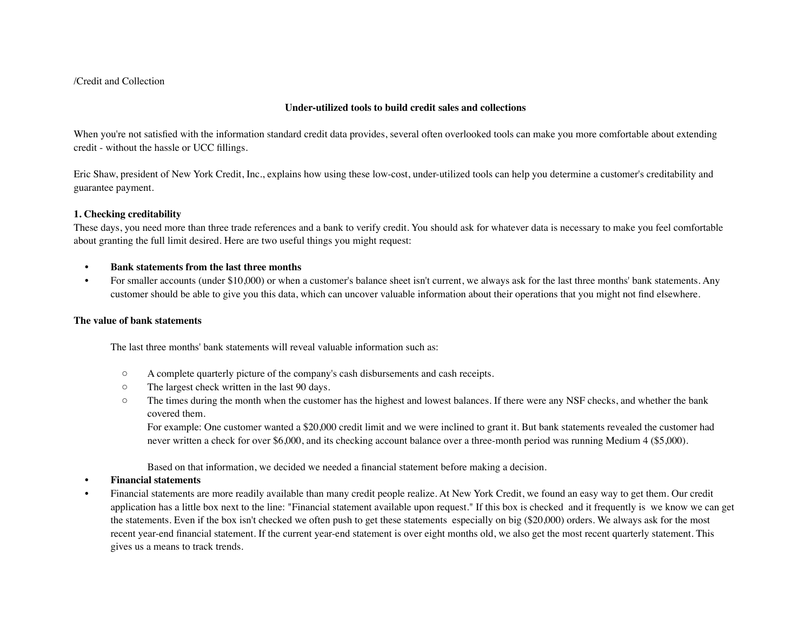### /Credit and Collection

### **Under-utilized tools to build credit sales and collections**

When you're not satisfied with the information standard credit data provides, several often overlooked tools can make you more comfortable about extending credit - without the hassle or UCC fillings.

Eric Shaw, president of New York Credit, Inc., explains how using these low-cost, under-utilized tools can help you determine a customer's creditability and guarantee payment.

# **1. Checking creditability**

These days, you need more than three trade references and a bank to verify credit. You should ask for whatever data is necessary to make you feel comfortable about granting the full limit desired. Here are two useful things you might request:

#### **• Bank statements from the last three months**

 • For smaller accounts (under \$10,000) or when a customer's balance sheet isn't current, we always ask for the last three months' bank statements. Any customer should be able to give you this data, which can uncover valuable information about their operations that you might not find elsewhere.

#### **The value of bank statements**

The last three months' bank statements will reveal valuable information such as:

- A complete quarterly picture of the company's cash disbursements and cash receipts.
- The largest check written in the last 90 days.
- The times during the month when the customer has the highest and lowest balances. If there were any NSF checks, and whether the bank covered them.

For example: One customer wanted a \$20,000 credit limit and we were inclined to grant it. But bank statements revealed the customer had never written a check for over \$6,000, and its checking account balance over a three-month period was running Medium 4 (\$5,000).

Based on that information, we decided we needed a financial statement before making a decision.

# **• Financial statements**

 • Financial statements are more readily available than many credit people realize. At New York Credit, we found an easy way to get them. Our credit application has a little box next to the line: "Financial statement available upon request." If this box is checked and it frequently is we know we can get the statements. Even if the box isn't checked we often push to get these statements especially on big (\$20,000) orders. We always ask for the most recent year-end financial statement. If the current year-end statement is over eight months old, we also get the most recent quarterly statement. This gives us a means to track trends.